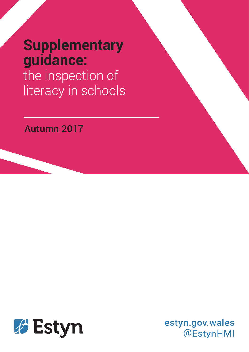# **Supplementary guidance:** the inspection of literacy in schools

# Autumn 2017



estyn.gov.wales @EstynHMI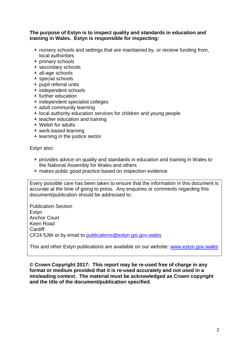#### **The purpose of Estyn is to inspect quality and standards in education and training in Wales. Estyn is responsible for inspecting:**

- $\lambda$  nursery schools and settings that are maintained by, or receive funding from, local authorities
- $\overline{\phantom{a}}$  primary schools
- $\overline{\phantom{a}}$  secondary schools
- $\overline{\phantom{a}}$  all-age schools
- $\overline{\phantom{a}}$  special schools
- $\overline{\phantom{a}}$  pupil referral units
- $\overline{\phantom{a}}$  independent schools
- $\overline{\phantom{a}}$  further education
- $\overline{\phantom{a}}$  independent specialist colleges
- $\overline{\phantom{a}}$  adult community learning
- $\lambda$  local authority education services for children and young people
- $\overline{\phantom{a}}$  teacher education and training
- $\triangle$  Welsh for adults
- work-based learning
- $\overline{\phantom{a}}$  learning in the justice sector

Estyn also:

- $\lambda$  provides advice on quality and standards in education and training in Wales to the National Assembly for Wales and others
- $\lambda$  makes public good practice based on inspection evidence

Every possible care has been taken to ensure that the information in this document is accurate at the time of going to press. Any enquiries or comments regarding this document/publication should be addressed to:

Publication Section Estyn Anchor Court Keen Road Cardiff CF24 5JW or by email to [publications@estyn.gsi.gov.wales](mailto:publications@estyn.gsi.gov.wales)

This and other Estyn publications are available on our website: [www.estyn.gov.wales](http://www.estyn.gov.wales/)

**© Crown Copyright 2017: This report may be re-used free of charge in any format or medium provided that it is re-used accurately and not used in a misleading context. The material must be acknowledged as Crown copyright and the title of the document/publication specified.**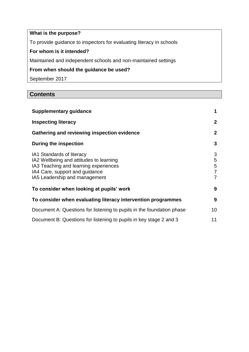# **What is the purpose?**

To provide guidance to inspectors for evaluating literacy in schools

# **For whom is it intended?**

Maintained and independent schools and non-maintained settings

# **From when should the guidance be used?**

September 2017

# **Contents**

| <b>Supplementary guidance</b>                                                                                                                                                    | 1                     |
|----------------------------------------------------------------------------------------------------------------------------------------------------------------------------------|-----------------------|
| <b>Inspecting literacy</b>                                                                                                                                                       | $\mathbf 2$           |
| Gathering and reviewing inspection evidence                                                                                                                                      | $\mathbf{2}$          |
| During the inspection                                                                                                                                                            | 3                     |
| IA1 Standards of literacy<br>IA2 Wellbeing and attitudes to learning<br>IA3 Teaching and learning experiences<br>IA4 Care, support and guidance<br>IA5 Leadership and management | 3<br>5<br>5<br>7<br>7 |
| To consider when looking at pupils' work                                                                                                                                         | 9                     |
| To consider when evaluating literacy intervention programmes                                                                                                                     | 9                     |
| Document A: Questions for listening to pupils in the foundation phase                                                                                                            | 10                    |
| Document B: Questions for listening to pupils in key stage 2 and 3                                                                                                               | 11                    |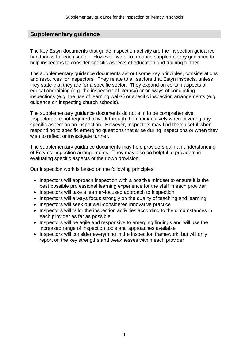### **Supplementary guidance**

The key Estyn documents that guide inspection activity are the inspection guidance handbooks for each sector. However, we also produce supplementary guidance to help inspectors to consider specific aspects of education and training further.

The supplementary guidance documents set out some key principles, considerations and resources for inspectors. They relate to all sectors that Estyn inspects, unless they state that they are for a specific sector. They expand on certain aspects of education/training (e.g. the inspection of literacy) or on ways of conducting inspections (e.g. the use of learning walks) or specific inspection arrangements (e.g. guidance on inspecting church schools).

The supplementary guidance documents do not aim to be comprehensive. Inspectors are not required to work through them exhaustively when covering any specific aspect on an inspection. However, inspectors may find them useful when responding to specific emerging questions that arise during inspections or when they wish to reflect or investigate further.

The supplementary guidance documents may help providers gain an understanding of Estyn's inspection arrangements. They may also be helpful to providers in evaluating specific aspects of their own provision.

Our inspection work is based on the following principles:

- Inspectors will approach inspection with a positive mindset to ensure it is the best possible professional learning experience for the staff in each provider
- Inspectors will take a learner-focused approach to inspection
- Inspectors will always focus strongly on the quality of teaching and learning
- Inspectors will seek out well-considered innovative practice
- Inspectors will tailor the inspection activities according to the circumstances in each provider as far as possible
- Inspectors will be agile and responsive to emerging findings and will use the increased range of inspection tools and approaches available
- Inspectors will consider everything in the inspection framework, but will only report on the key strengths and weaknesses within each provider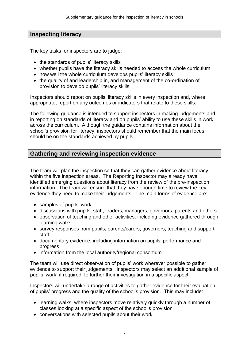# **Inspecting literacy**

The key tasks for inspectors are to judge:

- the standards of pupils' literacy skills
- whether pupils have the literacy skills needed to access the whole curriculum
- how well the whole curriculum develops pupils' literacy skills
- the quality of and leadership in, and management of the co-ordination of provision to develop pupils' literacy skills

Inspectors should report on pupils' literacy skills in every inspection and, where appropriate, report on any outcomes or indicators that relate to these skills.

The following guidance is intended to support inspectors in making judgements and in reporting on standards of literacy and on pupils' ability to use these skills in work across the curriculum. Although the guidance contains information about the school's provision for literacy, inspectors should remember that the main focus should be on the standards achieved by pupils.

# **Gathering and reviewing inspection evidence**

The team will plan the inspection so that they can gather evidence about literacy within the five inspection areas. The Reporting Inspector may already have identified emerging questions about literacy from the review of the pre-inspection information. The team will ensure that they have enough time to review the key evidence they need to make their judgements. The main forms of evidence are:

- samples of pupils' work
- discussions with pupils, staff, leaders, managers, governors, parents and others
- observation of teaching and other activities, including evidence gathered through learning walks
- survey responses from pupils, parents/carers, governors, teaching and support staff
- documentary evidence, including information on pupils' performance and progress
- information from the local authority/regional consortium

The team will use direct observation of pupils' work wherever possible to gather evidence to support their judgements. Inspectors may select an additional sample of pupils' work, if required, to further their investigation in a specific aspect.

Inspectors will undertake a range of activities to gather evidence for their evaluation of pupils' progress and the quality of the school's provision. This may include:

- learning walks, where inspectors move relatively quickly through a number of classes looking at a specific aspect of the school's provision
- conversations with selected pupils about their work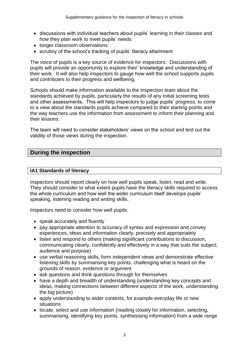- discussions with individual teachers about pupils' learning in their classes and how they plan work to meet pupils' needs
- longer classroom observations
- scrutiny of the school's tracking of pupils' literacy attainment

The voice of pupils is a key source of evidence for inspectors. Discussions with pupils will provide an opportunity to explore their' knowledge and understanding of their work. It will also help inspectors to gauge how well the school supports pupils and contributes to their progress and wellbeing.

Schools should make information available to the inspection team about the standards achieved by pupils, particularly the results of any initial screening tests and other assessments. This will help inspectors to judge pupils' progress, to come to a view about the standards pupils achieve compared to their starting-points and the way teachers use the information from assessment to inform their planning and their lessons.

The team will need to consider stakeholders' views on the school and test out the validity of those views during the inspection.

# **During the inspection**

#### **IA1 Standards of literacy**

Inspectors should report clearly on how well pupils speak, listen, read and write. They should consider to what extent pupils have the literacy skills required to access the whole curriculum and how well the wider curriculum itself develops pupils' speaking, listening reading and writing skills.

Inspectors need to consider how well pupils:

- speak accurately and fluently
- pay appropriate attention to accuracy of syntax and expression and convey experiences, ideas and information clearly, precisely and appropriately
- listen and respond to others (making significant contributions to discussion, communicating clearly, confidently and effectively in a way that suits the subject, audience and purpose)
- use verbal reasoning skills, form independent views and demonstrate effective listening skills by summarising key points, challenging what is heard on the grounds of reason, evidence or argument
- ask questions and think questions through for themselves
- have a depth and breadth of understanding (understanding key concepts and ideas, making connections between different aspects of the work, understanding the big picture)
- apply understanding to wider contexts, for example everyday life or new situations
- locate, select and use information (reading closely for information, selecting, summarising, identifying key points, synthesising information) from a wide range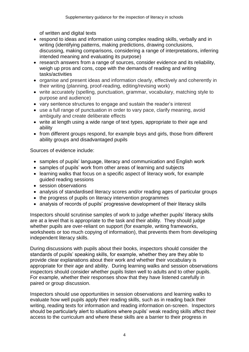of written and digital texts

- respond to ideas and information using complex reading skills, verbally and in writing (identifying patterns, making predictions, drawing conclusions, discussing, making comparisons, considering a range of interpretations, inferring intended meaning and evaluating its purpose)
- research answers from a range of sources, consider evidence and its reliability, weigh up pros and cons, cope with the demands of reading and writing tasks/activities
- organise and present ideas and information clearly, effectively and coherently in their writing (planning, proof-reading, editing/revising work)
- write accurately (spelling, punctuation, grammar, vocabulary, matching style to purpose and audience)
- vary sentence structures to engage and sustain the reader's interest
- use a full range of punctuation in order to vary pace, clarify meaning, avoid ambiguity and create deliberate effects
- write at length using a wide range of text types, appropriate to their age and ability
- from different groups respond, for example boys and girls, those from different ability groups and disadvantaged pupils

Sources of evidence include:

- samples of pupils' language, literacy and communication and English work
- samples of pupils' work from other areas of learning and subjects
- learning walks that focus on a specific aspect of literacy work, for example guided reading sessions
- session observations
- analysis of standardised literacy scores and/or reading ages of particular groups
- the progress of pupils on literacy intervention programmes
- analysis of records of pupils' progressive development of their literacy skills

Inspectors should scrutinise samples of work to judge whether pupils' literacy skills are at a level that is appropriate to the task and their ability. They should judge whether pupils are over-reliant on support (for example, writing frameworks, worksheets or too much copying of information), that prevents them from developing independent literacy skills.

During discussions with pupils about their books, inspectors should consider the standards of pupils' speaking skills, for example, whether they are they able to provide clear explanations about their work and whether their vocabulary is appropriate for their age and ability. During learning walks and session observations inspectors should consider whether pupils listen well to adults and to other pupils. For example, whether their responses show that they have listened carefully in paired or group discussion.

Inspectors should use opportunities in session observations and learning walks to evaluate how well pupils apply their reading skills, such as in reading back their writing, reading texts for information and reading information on-screen. Inspectors should be particularly alert to situations where pupils' weak reading skills affect their access to the curriculum and where these skills are a barrier to their progress in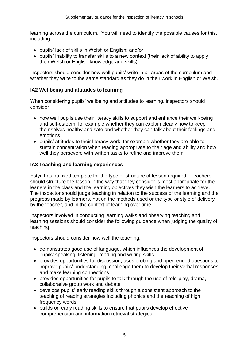learning across the curriculum. You will need to identify the possible causes for this, including:

- pupils' lack of skills in Welsh or English; and/or
- pupils' inability to transfer skills to a new context (their lack of ability to apply their Welsh or English knowledge and skills).

Inspectors should consider how well pupils' write in all areas of the curriculum and whether they write to the same standard as they do in their work in English or Welsh.

#### **IA2 Wellbeing and attitudes to learning**

When considering pupils' wellbeing and attitudes to learning, inspectors should consider:

- how well pupils use their literacy skills to support and enhance their well-being and self-esteem, for example whether they can explain clearly how to keep themselves healthy and safe and whether they can talk about their feelings and emotions
- pupils' attitudes to their literacy work, for example whether they are able to sustain concentration when reading appropriate to their age and ability and how well they persevere with written tasks to refine and improve them

#### **IA3 Teaching and learning experiences**

Estyn has no fixed template for the type or structure of lesson required. Teachers should structure the lesson in the way that they consider is most appropriate for the leaners in the class and the learning objectives they wish the learners to achieve. The inspector should judge teaching in relation to the success of the learning and the progress made by learners, not on the methods used or the type or style of delivery by the teacher, and in the context of learning over time.

Inspectors involved in conducting learning walks and observing teaching and learning sessions should consider the following guidance when judging the quality of teaching.

Inspectors should consider how well the teaching:

- demonstrates good use of language, which influences the development of pupils' speaking, listening, reading and writing skills
- provides opportunities for discussion, uses probing and open-ended questions to improve pupils' understanding, challenge them to develop their verbal responses and make learning connections
- provides opportunities for pupils to talk through the use of role-play, drama, collaborative group work and debate
- develops pupils' early reading skills through a consistent approach to the teaching of reading strategies including phonics and the teaching of high frequency words
- builds on early reading skills to ensure that pupils develop effective comprehension and information retrieval strategies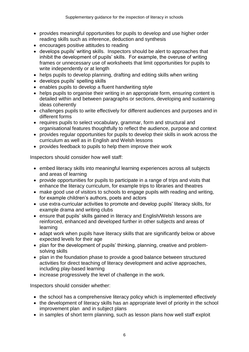- provides meaningful opportunities for pupils to develop and use higher order reading skills such as inference, deduction and synthesis
- encourages positive attitudes to reading
- develops pupils' writing skills. Inspectors should be alert to approaches that inhibit the development of pupils' skills. For example, the overuse of writing frames or unnecessary use of worksheets that limit opportunities for pupils to write independently or at length
- helps pupils to develop planning, drafting and editing skills when writing
- develops pupils' spelling skills
- enables pupils to develop a fluent handwriting style
- helps pupils to organise their writing in an appropriate form, ensuring content is detailed within and between paragraphs or sections, developing and sustaining ideas coherently
- challenges pupils to write effectively for different audiences and purposes and in different forms
- requires pupils to select vocabulary, grammar, form and structural and organisational features thoughtfully to reflect the audience, purpose and context
- provides regular opportunities for pupils to develop their skills in work across the curriculum as well as in English and Welsh lessons
- provides feedback to pupils to help them improve their work

Inspectors should consider how well staff:

- embed literacy skills into meaningful learning experiences across all subjects and areas of learning
- provide opportunities for pupils to participate in a range of trips and visits that enhance the literacy curriculum, for example trips to libraries and theatres
- make good use of visitors to schools to engage pupils with reading and writing. for example children's authors, poets and actors
- use extra-curricular activities to promote and develop pupils' literacy skills, for example drama and writing clubs
- ensure that pupils' skills gained in literacy and English/Welsh lessons are reinforced, enhanced and developed further in other subjects and areas of learning
- adapt work when pupils have literacy skills that are significantly below or above expected levels for their age
- plan for the development of pupils' thinking, planning, creative and problemsolving skills
- plan in the foundation phase to provide a good balance between structured activities for direct teaching of literacy development and active approaches, including play-based learning
- increase progressively the level of challenge in the work.

Inspectors should consider whether:

- the school has a comprehensive literacy policy which is implemented effectively
- the development of literacy skills has an appropriate level of priority in the school improvement plan and in subject plans
- in samples of short term planning, such as lesson plans how well staff exploit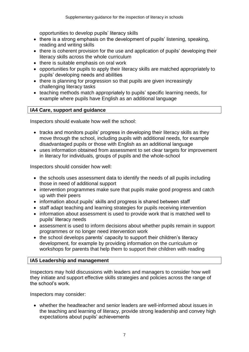opportunities to develop pupils' literacy skills

- there is a strong emphasis on the development of pupils' listening, speaking, reading and writing skills
- there is coherent provision for the use and application of pupils' developing their literacy skills across the whole curriculum
- there is suitable emphasis on oral work
- opportunities for pupils to apply their literacy skills are matched appropriately to pupils' developing needs and abilities
- there is planning for progression so that pupils are given increasingly challenging literacy tasks
- teaching methods match appropriately to pupils' specific learning needs, for example where pupils have English as an additional language

#### **IA4 Care, support and guidance**

Inspectors should evaluate how well the school:

- tracks and monitors pupils' progress in developing their literacy skills as they move through the school, including pupils with additional needs, for example disadvantaged pupils or those with English as an additional language
- uses information obtained from assessment to set clear targets for improvement in literacy for individuals, groups of pupils and the whole-school

Inspectors should consider how well:

- the schools uses assessment data to identify the needs of all pupils including those in need of additional support
- intervention programmes make sure that pupils make good progress and catch up with their peers
- information about pupils' skills and progress is shared between staff
- staff adapt teaching and learning strategies for pupils receiving intervention
- information about assessment is used to provide work that is matched well to pupils' literacy needs
- assessment is used to inform decisions about whether pupils remain in support programmes or no longer need intervention work
- the school develops parents' capacity to support their children's literacy development, for example by providing information on the curriculum or workshops for parents that help them to support their children with reading

#### **IA5 Leadership and management**

Inspectors may hold discussions with leaders and managers to consider how well they initiate and support effective skills strategies and policies across the range of the school's work.

Inspectors may consider:

 whether the headteacher and senior leaders are well-informed about issues in the teaching and learning of literacy, provide strong leadership and convey high expectations about pupils' achievements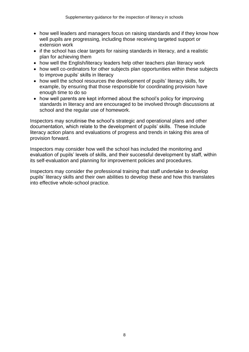- how well leaders and managers focus on raising standards and if they know how well pupils are progressing, including those receiving targeted support or extension work
- if the school has clear targets for raising standards in literacy, and a realistic plan for achieving them
- how well the English/literacy leaders help other teachers plan literacy work
- how well co-ordinators for other subjects plan opportunities within these subjects to improve pupils' skills in literacy
- how well the school resources the development of pupils' literacy skills, for example, by ensuring that those responsible for coordinating provision have enough time to do so
- how well parents are kept informed about the school's policy for improving standards in literacy and are encouraged to be involved through discussions at school and the regular use of homework.

Inspectors may scrutinise the school's strategic and operational plans and other documentation, which relate to the development of pupils' skills. These include literacy action plans and evaluations of progress and trends in taking this area of provision forward.

Inspectors may consider how well the school has included the monitoring and evaluation of pupils' levels of skills, and their successful development by staff, within its self-evaluation and planning for improvement policies and procedures.

Inspectors may consider the professional training that staff undertake to develop pupils' literacy skills and their own abilities to develop these and how this translates into effective whole-school practice.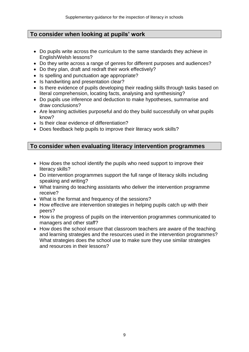# **To consider when looking at pupils' work**

- Do pupils write across the curriculum to the same standards they achieve in English/Welsh lessons?
- Do they write across a range of genres for different purposes and audiences?
- Do they plan, draft and redraft their work effectively?
- Is spelling and punctuation age appropriate?
- Is handwriting and presentation clear?
- Is there evidence of pupils developing their reading skills through tasks based on literal comprehension, locating facts, analysing and synthesising?
- Do pupils use inference and deduction to make hypotheses, summarise and draw conclusions?
- Are learning activities purposeful and do they build successfully on what pupils know?
- Is their clear evidence of differentiation?
- Does feedback help pupils to improve their literacy work skills?

# **To consider when evaluating literacy intervention programmes**

- How does the school identify the pupils who need support to improve their literacy skills?
- Do intervention programmes support the full range of literacy skills including speaking and writing?
- What training do teaching assistants who deliver the intervention programme receive?
- What is the format and frequency of the sessions?
- How effective are intervention strategies in helping pupils catch up with their peers?
- How is the progress of pupils on the intervention programmes communicated to managers and other staff?
- How does the school ensure that classroom teachers are aware of the teaching and learning strategies and the resources used in the intervention programmes? What strategies does the school use to make sure they use similar strategies and resources in their lessons?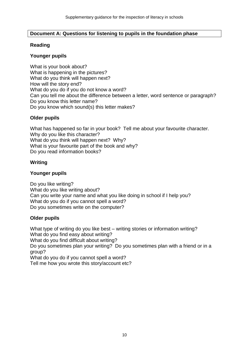#### **Document A: Questions for listening to pupils in the foundation phase**

#### **Reading**

#### **Younger pupils**

What is your book about? What is happening in the pictures? What do you think will happen next? How will the story end? What do you do if you do not know a word? Can you tell me about the difference between a letter, word sentence or paragraph? Do you know this letter name? Do you know which sound(s) this letter makes?

#### **Older pupils**

What has happened so far in your book? Tell me about your favourite character. Why do you like this character? What do you think will happen next? Why? What is your favourite part of the book and why? Do you read information books?

#### **Writing**

#### **Younger pupils**

Do you like writing? What do you like writing about? Can you write your name and what you like doing in school if I help you? What do you do if you cannot spell a word? Do you sometimes write on the computer?

#### **Older pupils**

What type of writing do you like best – writing stories or information writing? What do you find easy about writing? What do you find difficult about writing? Do you sometimes plan your writing? Do you sometimes plan with a friend or in a group? What do you do if you cannot spell a word? Tell me how you wrote this story/account etc?